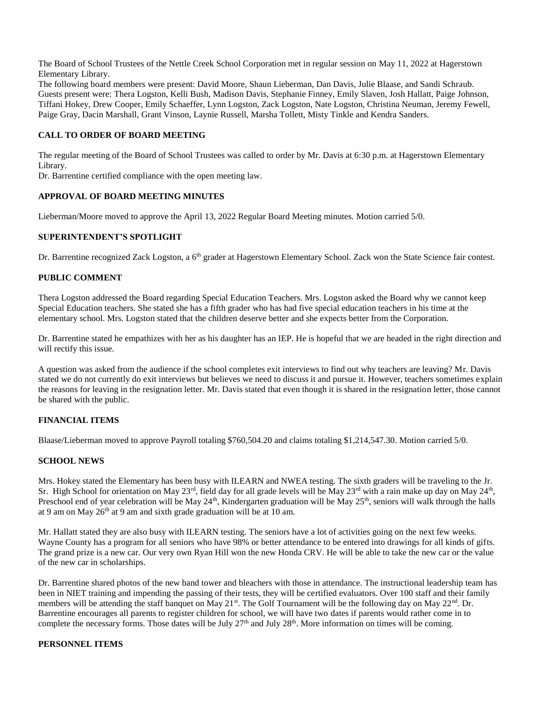The Board of School Trustees of the Nettle Creek School Corporation met in regular session on May 11, 2022 at Hagerstown Elementary Library.

The following board members were present: David Moore, Shaun Lieberman, Dan Davis, Julie Blaase, and Sandi Schraub. Guests present were: Thera Logston, Kelli Bush, Madison Davis, Stephanie Finney, Emily Slaven, Josh Hallatt, Paige Johnson, Tiffani Hokey, Drew Cooper, Emily Schaeffer, Lynn Logston, Zack Logston, Nate Logston, Christina Neuman, Jeremy Fewell, Paige Gray, Dacin Marshall, Grant Vinson, Laynie Russell, Marsha Tollett, Misty Tinkle and Kendra Sanders.

### **CALL TO ORDER OF BOARD MEETING**

The regular meeting of the Board of School Trustees was called to order by Mr. Davis at 6:30 p.m. at Hagerstown Elementary Library.

Dr. Barrentine certified compliance with the open meeting law.

### **APPROVAL OF BOARD MEETING MINUTES**

Lieberman/Moore moved to approve the April 13, 2022 Regular Board Meeting minutes. Motion carried 5/0.

## **SUPERINTENDENT'S SPOTLIGHT**

Dr. Barrentine recognized Zack Logston, a 6<sup>th</sup> grader at Hagerstown Elementary School. Zack won the State Science fair contest.

### **PUBLIC COMMENT**

Thera Logston addressed the Board regarding Special Education Teachers. Mrs. Logston asked the Board why we cannot keep Special Education teachers. She stated she has a fifth grader who has had five special education teachers in his time at the elementary school. Mrs. Logston stated that the children deserve better and she expects better from the Corporation.

Dr. Barrentine stated he empathizes with her as his daughter has an IEP. He is hopeful that we are headed in the right direction and will rectify this issue.

A question was asked from the audience if the school completes exit interviews to find out why teachers are leaving? Mr. Davis stated we do not currently do exit interviews but believes we need to discuss it and pursue it. However, teachers sometimes explain the reasons for leaving in the resignation letter. Mr. Davis stated that even though it is shared in the resignation letter, those cannot be shared with the public.

### **FINANCIAL ITEMS**

Blaase/Lieberman moved to approve Payroll totaling \$760,504.20 and claims totaling \$1,214,547.30. Motion carried 5/0.

#### **SCHOOL NEWS**

Mrs. Hokey stated the Elementary has been busy with ILEARN and NWEA testing. The sixth graders will be traveling to the Jr. Sr. High School for orientation on May  $23^{rd}$ , field day for all grade levels will be May  $23^{rd}$  with a rain make up day on May  $24^{th}$ , Preschool end of year celebration will be May 24<sup>th</sup>, Kindergarten graduation will be May 25<sup>th</sup>, seniors will walk through the halls at 9 am on May  $26<sup>th</sup>$  at 9 am and sixth grade graduation will be at 10 am.

Mr. Hallatt stated they are also busy with ILEARN testing. The seniors have a lot of activities going on the next few weeks. Wayne County has a program for all seniors who have 98% or better attendance to be entered into drawings for all kinds of gifts. The grand prize is a new car. Our very own Ryan Hill won the new Honda CRV. He will be able to take the new car or the value of the new car in scholarships.

Dr. Barrentine shared photos of the new band tower and bleachers with those in attendance. The instructional leadership team has been in NIET training and impending the passing of their tests, they will be certified evaluators. Over 100 staff and their family members will be attending the staff banquet on May 21<sup>st</sup>. The Golf Tournament will be the following day on May 22<sup>nd</sup>. Dr. Barrentine encourages all parents to register children for school, we will have two dates if parents would rather come in to complete the necessary forms. Those dates will be July  $27<sup>th</sup>$  and July  $28<sup>th</sup>$ . More information on times will be coming.

#### **PERSONNEL ITEMS**